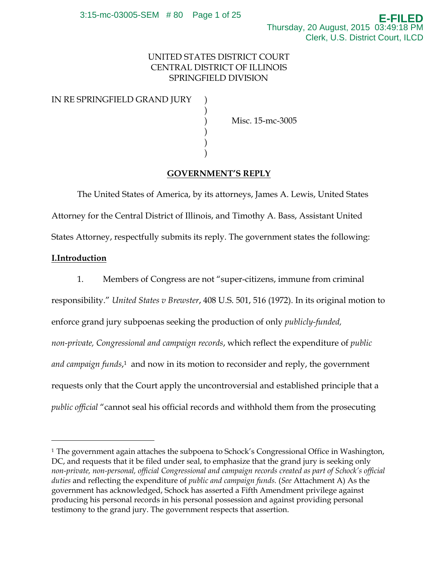# UNITED STATES DISTRICT COURT CENTRAL DISTRICT OF ILLINOIS SPRINGFIELD DIVISION

## IN RE SPRINGFIELD GRAND JURY

 $)$ 

 $)$  $)$  $)$ 

) Misc. 15-mc-3005

## **GOVERNMENT'S REPLY**

The United States of America, by its attorneys, James A. Lewis, United States Attorney for the Central District of Illinois, and Timothy A. Bass, Assistant United States Attorney, respectfully submits its reply. The government states the following:

## **I.Introduction**

<sup>-</sup>

1. Members of Congress are not "super-citizens, immune from criminal responsibility." *United States v Brewster*, 408 U.S. 501, 516 (1972). In its original motion to enforce grand jury subpoenas seeking the production of only *publicly-funded, non-private, Congressional and campaign records*, which reflect the expenditure of *public*  and campaign funds,<sup>1</sup> and now in its motion to reconsider and reply, the government requests only that the Court apply the uncontroversial and established principle that a *public official* "cannot seal his official records and withhold them from the prosecuting

<sup>&</sup>lt;sup>1</sup> The government again attaches the subpoena to Schock's Congressional Office in Washington, DC, and requests that it be filed under seal, to emphasize that the grand jury is seeking only *non-private, non-personal, official Congressional and campaign records created as part of Schock's official duties* and reflecting the expenditure of *public and campaign funds.* (*See* Attachment A) As the government has acknowledged, Schock has asserted a Fifth Amendment privilege against producing his personal records in his personal possession and against providing personal testimony to the grand jury. The government respects that assertion.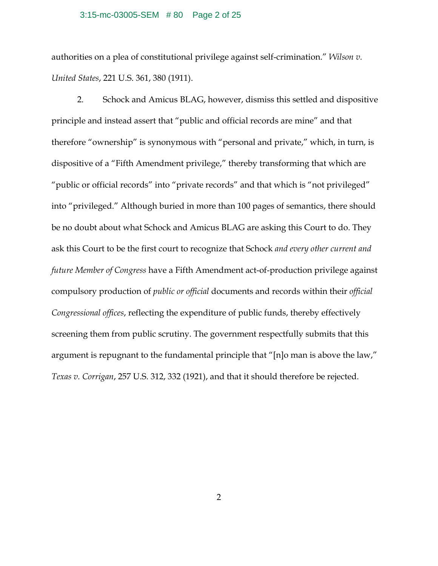## 3:15-mc-03005-SEM # 80 Page 2 of 25

authorities on a plea of constitutional privilege against self-crimination." *Wilson v. United States*, 221 U.S. 361, 380 (1911).

2. Schock and Amicus BLAG, however, dismiss this settled and dispositive principle and instead assert that "public and official records are mine" and that therefore "ownership" is synonymous with "personal and private," which, in turn, is dispositive of a "Fifth Amendment privilege," thereby transforming that which are "public or official records" into "private records" and that which is "not privileged" into "privileged." Although buried in more than 100 pages of semantics, there should be no doubt about what Schock and Amicus BLAG are asking this Court to do. They ask this Court to be the first court to recognize that Schock *and every other current and future Member of Congress* have a Fifth Amendment act-of-production privilege against compulsory production of *public or official* documents and records within their *official Congressional offices*, reflecting the expenditure of public funds, thereby effectively screening them from public scrutiny. The government respectfully submits that this argument is repugnant to the fundamental principle that "[n]o man is above the law," *Texas v. Corrigan*, 257 U.S. 312, 332 (1921), and that it should therefore be rejected.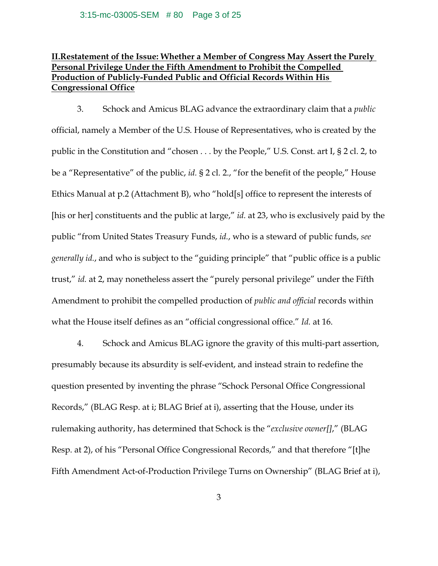# **II.Restatement of the Issue: Whether a Member of Congress May Assert the Purely Personal Privilege Under the Fifth Amendment to Prohibit the Compelled Production of Publicly-Funded Public and Official Records Within His Congressional Office**

3. Schock and Amicus BLAG advance the extraordinary claim that a *public* official, namely a Member of the U.S. House of Representatives, who is created by the public in the Constitution and "chosen . . . by the People," U.S. Const. art I, § 2 cl. 2, to be a "Representative" of the public, *id.* § 2 cl. 2., "for the benefit of the people," House Ethics Manual at p.2 (Attachment B), who "hold[s] office to represent the interests of [his or her] constituents and the public at large," *id.* at 23, who is exclusively paid by the public "from United States Treasury Funds, *id.*, who is a steward of public funds, *see generally id.*, and who is subject to the "guiding principle" that "public office is a public trust," *id.* at 2, may nonetheless assert the "purely personal privilege" under the Fifth Amendment to prohibit the compelled production of *public and official* records within what the House itself defines as an "official congressional office." *Id.* at 16.

4. Schock and Amicus BLAG ignore the gravity of this multi-part assertion, presumably because its absurdity is self-evident, and instead strain to redefine the question presented by inventing the phrase "Schock Personal Office Congressional Records," (BLAG Resp. at i; BLAG Brief at i), asserting that the House, under its rulemaking authority, has determined that Schock is the "*exclusive owner[]*," (BLAG Resp. at 2), of his "Personal Office Congressional Records," and that therefore "[t]he Fifth Amendment Act-of-Production Privilege Turns on Ownership" (BLAG Brief at i),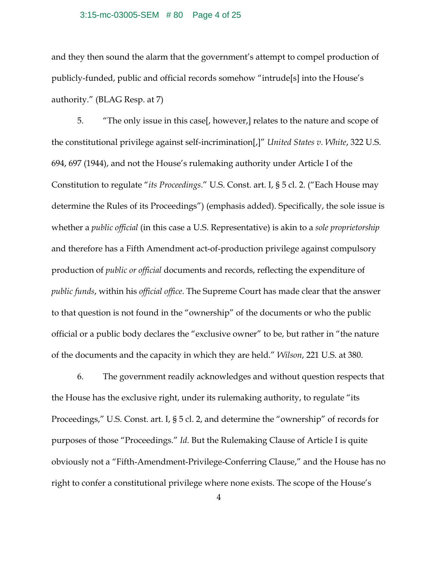#### 3:15-mc-03005-SEM # 80 Page 4 of 25

and they then sound the alarm that the government's attempt to compel production of publicly-funded, public and official records somehow "intrude[s] into the House's authority." (BLAG Resp. at 7)

5. "The only issue in this case[, however,] relates to the nature and scope of the constitutional privilege against self-incrimination[,]" *United States v. White*, 322 U.S. 694, 697 (1944), and not the House's rulemaking authority under Article I of the Constitution to regulate "*its Proceedings*." U.S. Const. art. I, § 5 cl. 2. ("Each House may determine the Rules of its Proceedings") (emphasis added). Specifically, the sole issue is whether a *public official* (in this case a U.S. Representative) is akin to a *sole proprietorship* and therefore has a Fifth Amendment act-of-production privilege against compulsory production of *public or official* documents and records, reflecting the expenditure of *public funds*, within his *official office*. The Supreme Court has made clear that the answer to that question is not found in the "ownership" of the documents or who the public official or a public body declares the "exclusive owner" to be, but rather in "the nature of the documents and the capacity in which they are held." *Wilson*, 221 U.S. at 380.

6. The government readily acknowledges and without question respects that the House has the exclusive right, under its rulemaking authority, to regulate "its Proceedings," U.S. Const. art. I, § 5 cl. 2, and determine the "ownership" of records for purposes of those "Proceedings." *Id.* But the Rulemaking Clause of Article I is quite obviously not a "Fifth-Amendment-Privilege-Conferring Clause," and the House has no right to confer a constitutional privilege where none exists. The scope of the House's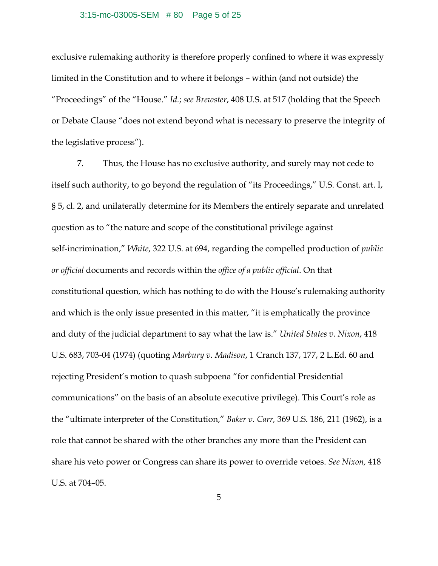#### 3:15-mc-03005-SEM # 80 Page 5 of 25

exclusive rulemaking authority is therefore properly confined to where it was expressly limited in the Constitution and to where it belongs – within (and not outside) the "Proceedings" of the "House." *Id.*; *see Brewster*, 408 U.S. at 517 (holding that the Speech or Debate Clause "does not extend beyond what is necessary to preserve the integrity of the legislative process").

7. Thus, the House has no exclusive authority, and surely may not cede to itself such authority, to go beyond the regulation of "its Proceedings," U.S. Const. art. I, § 5, cl. 2, and unilaterally determine for its Members the entirely separate and unrelated question as to "the nature and scope of the constitutional privilege against self-incrimination," *White*, 322 U.S. at 694, regarding the compelled production of *public or official* documents and records within the *office of a public official*. On that constitutional question, which has nothing to do with the House's rulemaking authority and which is the only issue presented in this matter, "it is emphatically the province and duty of the judicial department to say what the law is." *United States v. Nixon*, 418 U.S. 683, 703-04 (1974) (quoting *Marbury v. Madison*, 1 Cranch 137, 177, 2 L.Ed. 60 and rejecting President's motion to quash subpoena "for confidential Presidential communications" on the basis of an absolute executive privilege). This Court's role as the "ultimate interpreter of the Constitution," *Baker v. Carr,* 369 U.S. 186, 211 (1962), is a role that cannot be shared with the other branches any more than the President can share his veto power or Congress can share its power to override vetoes. *See Nixon,* 418 U.S. at 704–05.

5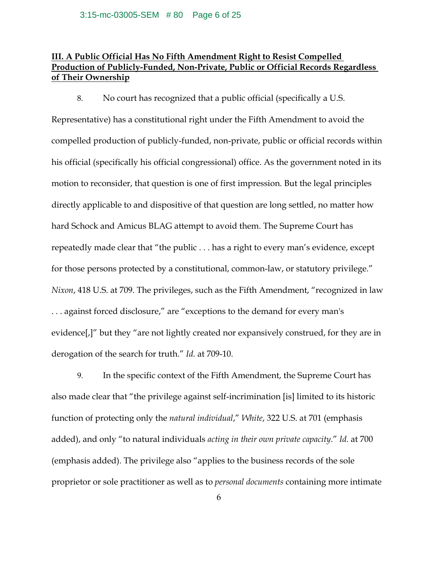## **III. A Public Official Has No Fifth Amendment Right to Resist Compelled Production of Publicly-Funded, Non-Private, Public or Official Records Regardless of Their Ownership**

8. No court has recognized that a public official (specifically a U.S.

Representative) has a constitutional right under the Fifth Amendment to avoid the compelled production of publicly-funded, non-private, public or official records within his official (specifically his official congressional) office. As the government noted in its motion to reconsider, that question is one of first impression. But the legal principles directly applicable to and dispositive of that question are long settled, no matter how hard Schock and Amicus BLAG attempt to avoid them. The Supreme Court has repeatedly made clear that "the public . . . has a right to every man's evidence, except for those persons protected by a constitutional, common-law, or statutory privilege." *Nixon*, 418 U.S. at 709. The privileges, such as the Fifth Amendment, "recognized in law . . . against forced disclosure," are "exceptions to the demand for every man's evidence[,]" but they "are not lightly created nor expansively construed, for they are in derogation of the search for truth." *Id.* at 709-10.

9. In the specific context of the Fifth Amendment, the Supreme Court has also made clear that "the privilege against self-incrimination [is] limited to its historic function of protecting only the *natural individual*," *White*, 322 U.S. at 701 (emphasis added), and only "to natural individuals *acting in their own private capacity*." *Id.* at 700 (emphasis added). The privilege also "applies to the business records of the sole proprietor or sole practitioner as well as to *personal documents* containing more intimate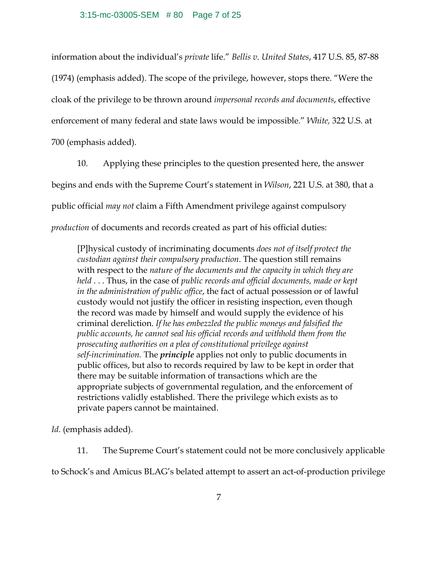#### 3:15-mc-03005-SEM # 80 Page 7 of 25

information about the individual's *private* life." *Bellis v. United States*, 417 U.S. 85, 87-88 (1974) (emphasis added). The scope of the privilege, however, stops there. "Were the cloak of the privilege to be thrown around *impersonal records and documents*, effective enforcement of many federal and state laws would be impossible." *White,* 322 U.S. at 700 (emphasis added).

10. Applying these principles to the question presented here, the answer begins and ends with the Supreme Court's statement in *Wilson*, 221 U.S. at 380, that a public official *may not* claim a Fifth Amendment privilege against compulsory *production* of documents and records created as part of his official duties:

[P]hysical custody of incriminating documents *does not of itself protect the custodian against their compulsory production*. The question still remains with respect to the *nature of the documents and the capacity in which they are held* . . . Thus, in the case of *public records and official documents, made or kept in the administration of public office*, the fact of actual possession or of lawful custody would not justify the officer in resisting inspection, even though the record was made by himself and would supply the evidence of his criminal dereliction. *If he has embezzled the public moneys and falsified the public accounts, he cannot seal his official records and withhold them from the prosecuting authorities on a plea of constitutional privilege against self-incrimination.* The *principle* applies not only to public documents in public offices, but also to records required by law to be kept in order that there may be suitable information of transactions which are the appropriate subjects of governmental regulation, and the enforcement of restrictions validly established. There the privilege which exists as to private papers cannot be maintained.

*Id.* (emphasis added).

11. The Supreme Court's statement could not be more conclusively applicable

to Schock's and Amicus BLAG's belated attempt to assert an act-of-production privilege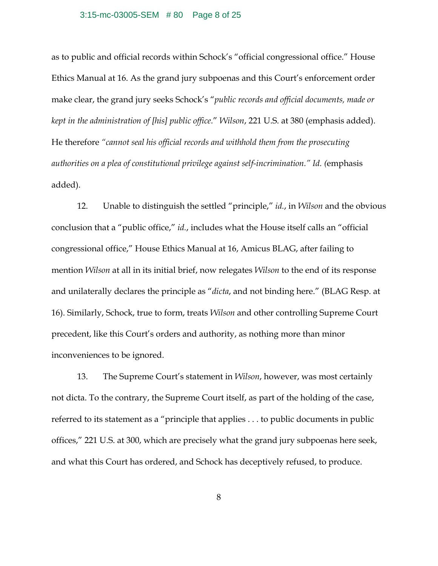#### 3:15-mc-03005-SEM # 80 Page 8 of 25

as to public and official records within Schock's "official congressional office." House Ethics Manual at 16. As the grand jury subpoenas and this Court's enforcement order make clear, the grand jury seeks Schock's "*public records and official documents, made or kept in the administration of [his] public office.*" *Wilson*, 221 U.S. at 380 (emphasis added). He therefore *"cannot seal his official records and withhold them from the prosecuting authorities on a plea of constitutional privilege against self-incrimination." Id. (*emphasis added).

12. Unable to distinguish the settled "principle," *id.*, in *Wilson* and the obvious conclusion that a "public office," *id.*, includes what the House itself calls an "official congressional office," House Ethics Manual at 16, Amicus BLAG, after failing to mention *Wilson* at all in its initial brief, now relegates *Wilson* to the end of its response and unilaterally declares the principle as "*dicta*, and not binding here." (BLAG Resp. at 16). Similarly, Schock, true to form, treats *Wilson* and other controlling Supreme Court precedent, like this Court's orders and authority, as nothing more than minor inconveniences to be ignored.

13. The Supreme Court's statement in *Wilson*, however, was most certainly not dicta. To the contrary, the Supreme Court itself, as part of the holding of the case, referred to its statement as a "principle that applies . . . to public documents in public offices," 221 U.S. at 300, which are precisely what the grand jury subpoenas here seek, and what this Court has ordered, and Schock has deceptively refused, to produce.

8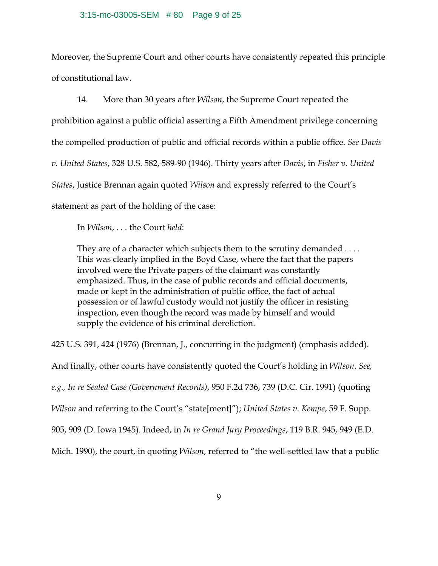#### 3:15-mc-03005-SEM # 80 Page 9 of 25

Moreover, the Supreme Court and other courts have consistently repeated this principle of constitutional law.

14. More than 30 years after *Wilson*, the Supreme Court repeated the prohibition against a public official asserting a Fifth Amendment privilege concerning the compelled production of public and official records within a public office. *See Davis v. United States*, 328 U.S. 582, 589-90 (1946)*.* Thirty years after *Davis*, in *Fisher v. United States*, Justice Brennan again quoted *Wilson* and expressly referred to the Court's statement as part of the holding of the case:

In *Wilson*, . . . the Court *held*:

They are of a character which subjects them to the scrutiny demanded .... This was clearly implied in the Boyd Case, where the fact that the papers involved were the Private papers of the claimant was constantly emphasized. Thus, in the case of public records and official documents, made or kept in the administration of public office, the fact of actual possession or of lawful custody would not justify the officer in resisting inspection, even though the record was made by himself and would supply the evidence of his criminal dereliction.

425 U.S. 391, 424 (1976) (Brennan, J., concurring in the judgment) (emphasis added).

And finally, other courts have consistently quoted the Court's holding in *Wilson*. *See, e.g., In re Sealed Case (Government Records)*, 950 F.2d 736, 739 (D.C. Cir. 1991) (quoting *Wilson* and referring to the Court's "state[ment]"); *United States v. Kempe*, 59 F. Supp. 905, 909 (D. Iowa 1945). Indeed, in *In re Grand Jury Proceedings*, 119 B.R. 945, 949 (E.D. Mich. 1990), the court, in quoting *Wilson*, referred to "the well-settled law that a public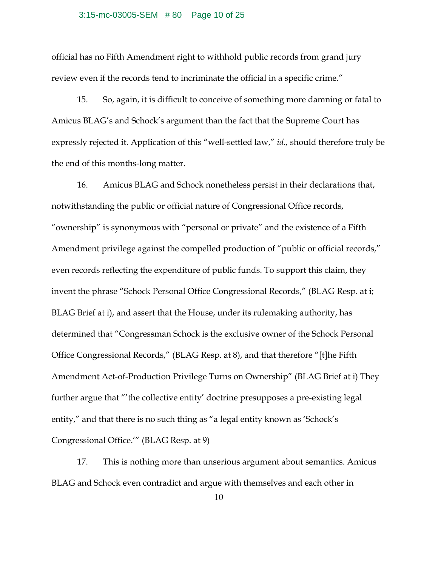#### 3:15-mc-03005-SEM # 80 Page 10 of 25

official has no Fifth Amendment right to withhold public records from grand jury review even if the records tend to incriminate the official in a specific crime."

15. So, again, it is difficult to conceive of something more damning or fatal to Amicus BLAG's and Schock's argument than the fact that the Supreme Court has expressly rejected it. Application of this "well-settled law," *id.,* should therefore truly be the end of this months-long matter.

16. Amicus BLAG and Schock nonetheless persist in their declarations that, notwithstanding the public or official nature of Congressional Office records, "ownership" is synonymous with "personal or private" and the existence of a Fifth Amendment privilege against the compelled production of "public or official records," even records reflecting the expenditure of public funds. To support this claim, they invent the phrase "Schock Personal Office Congressional Records," (BLAG Resp. at i; BLAG Brief at i), and assert that the House, under its rulemaking authority, has determined that "Congressman Schock is the exclusive owner of the Schock Personal Office Congressional Records," (BLAG Resp. at 8), and that therefore "[t]he Fifth Amendment Act-of-Production Privilege Turns on Ownership" (BLAG Brief at i) They further argue that "'the collective entity' doctrine presupposes a pre-existing legal entity," and that there is no such thing as "a legal entity known as 'Schock's Congressional Office.'" (BLAG Resp. at 9)

17. This is nothing more than unserious argument about semantics. Amicus BLAG and Schock even contradict and argue with themselves and each other in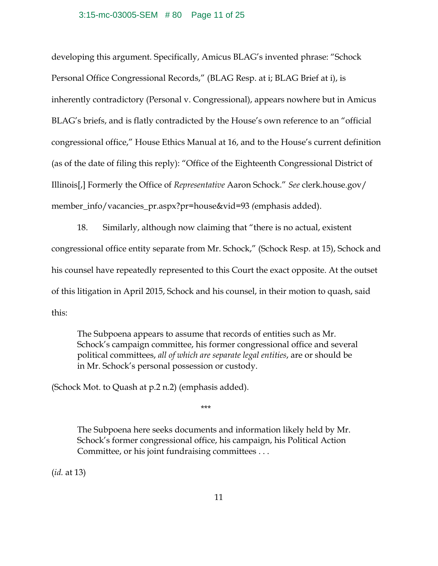#### 3:15-mc-03005-SEM # 80 Page 11 of 25

developing this argument. Specifically, Amicus BLAG's invented phrase: "Schock Personal Office Congressional Records," (BLAG Resp. at i; BLAG Brief at i), is inherently contradictory (Personal v. Congressional), appears nowhere but in Amicus BLAG's briefs, and is flatly contradicted by the House's own reference to an "official congressional office," House Ethics Manual at 16, and to the House's current definition (as of the date of filing this reply): "Office of the Eighteenth Congressional District of Illinois[,] Formerly the Office of *Representative* Aaron Schock." *See* clerk.house.gov/ member\_info/vacancies\_pr.aspx?pr=house&vid=93 *(*emphasis added).

18. Similarly, although now claiming that "there is no actual, existent congressional office entity separate from Mr. Schock," (Schock Resp. at 15), Schock and his counsel have repeatedly represented to this Court the exact opposite. At the outset of this litigation in April 2015, Schock and his counsel, in their motion to quash, said this:

The Subpoena appears to assume that records of entities such as Mr. Schock's campaign committee, his former congressional office and several political committees, *all of which are separate legal entities*, are or should be in Mr. Schock's personal possession or custody.

(Schock Mot. to Quash at p.2 n.2) (emphasis added).

\*\*\*

The Subpoena here seeks documents and information likely held by Mr. Schock's former congressional office, his campaign, his Political Action Committee, or his joint fundraising committees . . .

(*id.* at 13)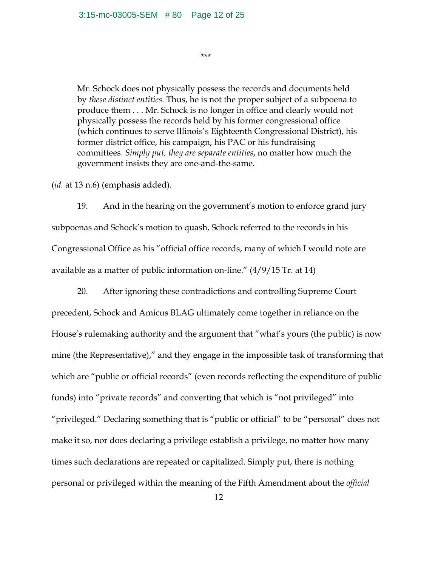\*\*\*

Mr. Schock does not physically possess the records and documents held by *these distinct entities*. Thus, he is not the proper subject of a subpoena to produce them . . . Mr. Schock is no longer in office and clearly would not physically possess the records held by his former congressional office (which continues to serve Illinois's Eighteenth Congressional District), his former district office, his campaign, his PAC or his fundraising committees. *Simply put, they are separate entities*, no matter how much the government insists they are one-and-the-same.

(*id.* at 13 n.6) (emphasis added).

19. And in the hearing on the government's motion to enforce grand jury subpoenas and Schock's motion to quash, Schock referred to the records in his Congressional Office as his "official office records, many of which I would note are available as a matter of public information on-line." (4/9/15 Tr. at 14)

20. After ignoring these contradictions and controlling Supreme Court precedent, Schock and Amicus BLAG ultimately come together in reliance on the House's rulemaking authority and the argument that "what's yours (the public) is now mine (the Representative)," and they engage in the impossible task of transforming that which are "public or official records" (even records reflecting the expenditure of public funds) into "private records" and converting that which is "not privileged" into "privileged." Declaring something that is "public or official" to be "personal" does not make it so, nor does declaring a privilege establish a privilege, no matter how many times such declarations are repeated or capitalized. Simply put, there is nothing personal or privileged within the meaning of the Fifth Amendment about the *official*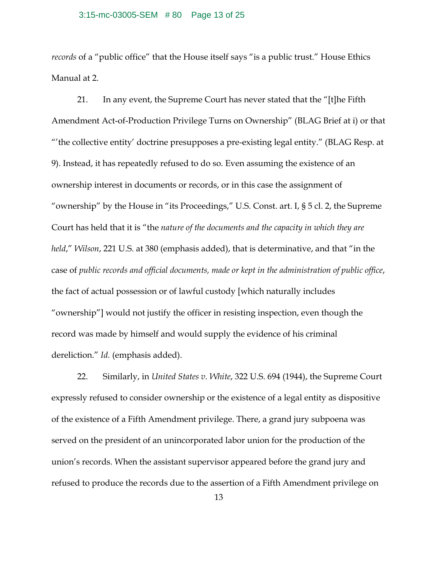### 3:15-mc-03005-SEM # 80 Page 13 of 25

*records* of a "public office" that the House itself says "is a public trust." House Ethics Manual at 2.

21. In any event, the Supreme Court has never stated that the "[t]he Fifth Amendment Act-of-Production Privilege Turns on Ownership" (BLAG Brief at i) or that "'the collective entity' doctrine presupposes a pre-existing legal entity." (BLAG Resp. at 9). Instead, it has repeatedly refused to do so. Even assuming the existence of an ownership interest in documents or records, or in this case the assignment of "ownership" by the House in "its Proceedings," U.S. Const. art. I, § 5 cl. 2, the Supreme Court has held that it is "the *nature of the documents and the capacity in which they are held*," *Wilson*, 221 U.S. at 380 (emphasis added), that is determinative, and that "in the case of *public records and official documents, made or kept in the administration of public office*, the fact of actual possession or of lawful custody [which naturally includes "ownership"] would not justify the officer in resisting inspection, even though the record was made by himself and would supply the evidence of his criminal dereliction." *Id.* (emphasis added).

22. Similarly, in *United States v. White*, 322 U.S. 694 (1944), the Supreme Court expressly refused to consider ownership or the existence of a legal entity as dispositive of the existence of a Fifth Amendment privilege. There, a grand jury subpoena was served on the president of an unincorporated labor union for the production of the union's records. When the assistant supervisor appeared before the grand jury and refused to produce the records due to the assertion of a Fifth Amendment privilege on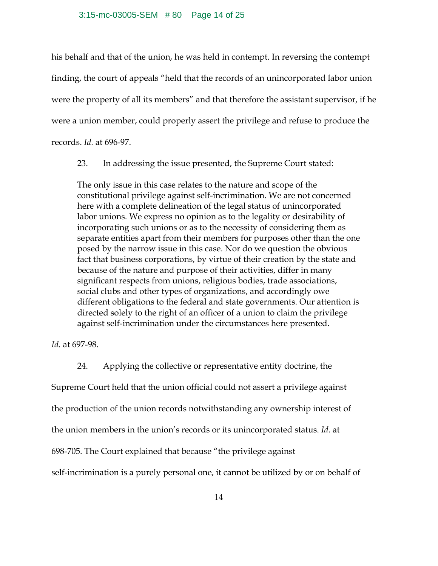#### 3:15-mc-03005-SEM # 80 Page 14 of 25

his behalf and that of the union, he was held in contempt. In reversing the contempt finding, the court of appeals "held that the records of an unincorporated labor union were the property of all its members" and that therefore the assistant supervisor, if he were a union member, could properly assert the privilege and refuse to produce the records. *Id.* at 696-97.

23. In addressing the issue presented, the Supreme Court stated:

The only issue in this case relates to the nature and scope of the constitutional privilege against self-incrimination. We are not concerned here with a complete delineation of the legal status of unincorporated labor unions. We express no opinion as to the legality or desirability of incorporating such unions or as to the necessity of considering them as separate entities apart from their members for purposes other than the one posed by the narrow issue in this case. Nor do we question the obvious fact that business corporations, by virtue of their creation by the state and because of the nature and purpose of their activities, differ in many significant respects from unions, religious bodies, trade associations, social clubs and other types of organizations, and accordingly owe different obligations to the federal and state governments. Our attention is directed solely to the right of an officer of a union to claim the privilege against self-incrimination under the circumstances here presented.

*Id.* at 697-98.

24. Applying the collective or representative entity doctrine, the Supreme Court held that the union official could not assert a privilege against the production of the union records notwithstanding any ownership interest of the union members in the union's records or its unincorporated status. *Id.* at 698-705. The Court explained that because "the privilege against self-incrimination is a purely personal one, it cannot be utilized by or on behalf of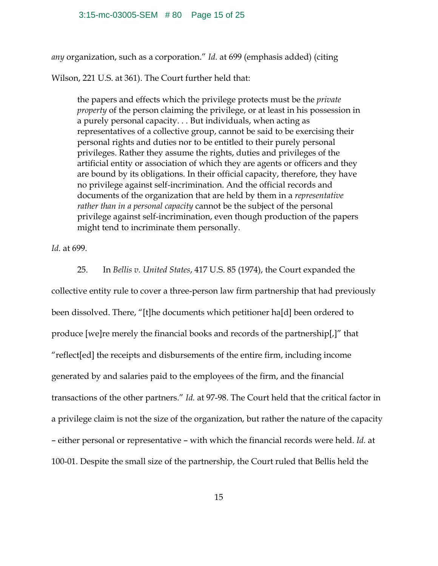*any* organization, such as a corporation." *Id.* at 699 (emphasis added) (citing

Wilson, 221 U.S. at 361). The Court further held that:

the papers and effects which the privilege protects must be the *private property* of the person claiming the privilege, or at least in his possession in a purely personal capacity. . . But individuals, when acting as representatives of a collective group, cannot be said to be exercising their personal rights and duties nor to be entitled to their purely personal privileges. Rather they assume the rights, duties and privileges of the artificial entity or association of which they are agents or officers and they are bound by its obligations. In their official capacity, therefore, they have no privilege against self-incrimination. And the official records and documents of the organization that are held by them in a *representative rather than in a personal capacity* cannot be the subject of the personal privilege against self-incrimination, even though production of the papers might tend to incriminate them personally.

*Id.* at 699.

25. In *Bellis v. United States*, 417 U.S. 85 (1974), the Court expanded the collective entity rule to cover a three-person law firm partnership that had previously been dissolved. There, "[t]he documents which petitioner ha[d] been ordered to produce [we]re merely the financial books and records of the partnership[,]" that "reflect[ed] the receipts and disbursements of the entire firm, including income generated by and salaries paid to the employees of the firm, and the financial transactions of the other partners." *Id.* at 97-98. The Court held that the critical factor in a privilege claim is not the size of the organization, but rather the nature of the capacity - either personal or representative - with which the financial records were held. *Id.* at 100-01. Despite the small size of the partnership, the Court ruled that Bellis held the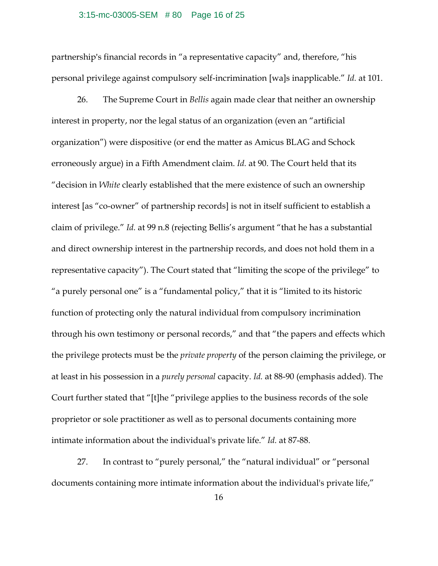### 3:15-mc-03005-SEM # 80 Page 16 of 25

partnership's financial records in "a representative capacity" and, therefore, "his personal privilege against compulsory self-incrimination [wa]s inapplicable." *Id.* at 101.

26. The Supreme Court in *Bellis* again made clear that neither an ownership interest in property, nor the legal status of an organization (even an "artificial organization") were dispositive (or end the matter as Amicus BLAG and Schock erroneously argue) in a Fifth Amendment claim. *Id.* at 90. The Court held that its "decision in *White* clearly established that the mere existence of such an ownership interest [as "co-owner" of partnership records] is not in itself sufficient to establish a claim of privilege." *Id.* at 99 n.8 (rejecting Bellis's argument "that he has a substantial and direct ownership interest in the partnership records, and does not hold them in a representative capacity"). The Court stated that "limiting the scope of the privilege" to "a purely personal one" is a "fundamental policy," that it is "limited to its historic function of protecting only the natural individual from compulsory incrimination through his own testimony or personal records," and that "the papers and effects which the privilege protects must be the *private property* of the person claiming the privilege, or at least in his possession in a *purely personal* capacity. *Id.* at 88-90 (emphasis added). The Court further stated that "[t]he "privilege applies to the business records of the sole proprietor or sole practitioner as well as to personal documents containing more intimate information about the individual's private life." *Id.* at 87-88.

27. In contrast to "purely personal," the "natural individual" or "personal documents containing more intimate information about the individual's private life,"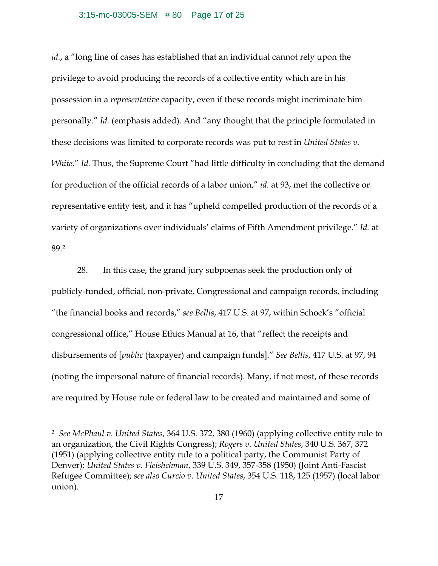#### 3:15-mc-03005-SEM # 80 Page 17 of 25

*id.*, a "long line of cases has established that an individual cannot rely upon the privilege to avoid producing the records of a collective entity which are in his possession in a *representative* capacity, even if these records might incriminate him personally." *Id.* (emphasis added). And "any thought that the principle formulated in these decisions was limited to corporate records was put to rest in *United States v. White.*" *Id.* Thus, the Supreme Court "had little difficulty in concluding that the demand for production of the official records of a labor union," *id.* at 93, met the collective or representative entity test, and it has "upheld compelled production of the records of a variety of organizations over individuals' claims of Fifth Amendment privilege." *Id.* at 89.2

28. In this case, the grand jury subpoenas seek the production only of publicly-funded, official, non-private, Congressional and campaign records, including "the financial books and records," *see Bellis*, 417 U.S. at 97, within Schock's "official congressional office," House Ethics Manual at 16, that "reflect the receipts and disbursements of [*public* (taxpayer) and campaign funds]." *See Bellis*, 417 U.S. at 97, 94 (noting the impersonal nature of financial records). Many, if not most, of these records are required by House rule or federal law to be created and maintained and some of

 $\overline{a}$ 

<sup>2</sup> *See McPhaul v. United States*, 364 U.S. 372, 380 (1960) (applying collective entity rule to an organization, the Civil Rights Congress); *Rogers v. United States*, 340 U.S. 367, 372 (1951) (applying collective entity rule to a political party, the Communist Party of Denver); *United States v. Fleishchman*, 339 U.S. 349, 357-358 (1950) (Joint Anti-Fascist Refugee Committee); *see also Curcio v. United States*, 354 U.S. 118, 125 (1957) (local labor union).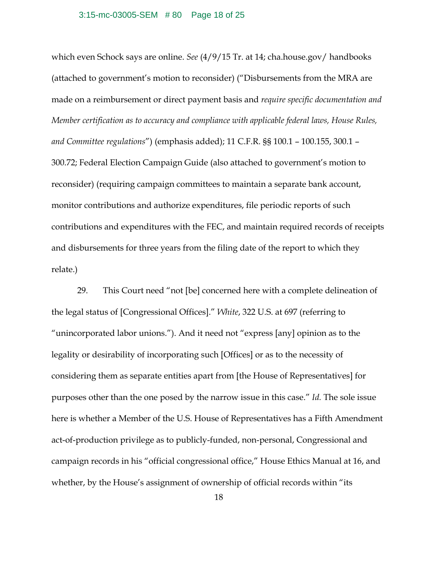#### 3:15-mc-03005-SEM # 80 Page 18 of 25

which even Schock says are online. *See* (4/9/15 Tr. at 14; cha.house.gov/ handbooks (attached to government's motion to reconsider) ("Disbursements from the MRA are made on a reimbursement or direct payment basis and *require specific documentation and Member certification as to accuracy and compliance with applicable federal laws, House Rules, and Committee regulations*") (emphasis added); 11 C.F.R. §§ 100.1 – 100.155, 300.1 – 300.72; Federal Election Campaign Guide (also attached to government's motion to reconsider) (requiring campaign committees to maintain a separate bank account, monitor contributions and authorize expenditures, file periodic reports of such contributions and expenditures with the FEC, and maintain required records of receipts and disbursements for three years from the filing date of the report to which they relate.)

29. This Court need "not [be] concerned here with a complete delineation of the legal status of [Congressional Offices]." *White*, 322 U.S. at 697 (referring to "unincorporated labor unions."). And it need not "express [any] opinion as to the legality or desirability of incorporating such [Offices] or as to the necessity of considering them as separate entities apart from [the House of Representatives] for purposes other than the one posed by the narrow issue in this case." *Id.* The sole issue here is whether a Member of the U.S. House of Representatives has a Fifth Amendment act-of-production privilege as to publicly-funded, non-personal, Congressional and campaign records in his "official congressional office," House Ethics Manual at 16, and whether, by the House's assignment of ownership of official records within "its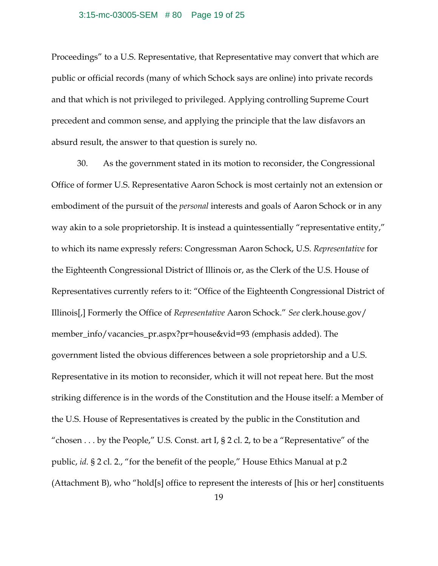#### 3:15-mc-03005-SEM # 80 Page 19 of 25

Proceedings" to a U.S. Representative, that Representative may convert that which are public or official records (many of which Schock says are online) into private records and that which is not privileged to privileged. Applying controlling Supreme Court precedent and common sense, and applying the principle that the law disfavors an absurd result, the answer to that question is surely no.

30. As the government stated in its motion to reconsider, the Congressional Office of former U.S. Representative Aaron Schock is most certainly not an extension or embodiment of the pursuit of the *personal* interests and goals of Aaron Schock or in any way akin to a sole proprietorship. It is instead a quintessentially "representative entity," to which its name expressly refers: Congressman Aaron Schock, U.S. *Representative* for the Eighteenth Congressional District of Illinois or, as the Clerk of the U.S. House of Representatives currently refers to it: "Office of the Eighteenth Congressional District of Illinois[,] Formerly the Office of *Representative* Aaron Schock." *See* clerk.house.gov/ member\_info/vacancies\_pr.aspx?pr=house&vid=93 *(*emphasis added). The government listed the obvious differences between a sole proprietorship and a U.S. Representative in its motion to reconsider, which it will not repeat here. But the most striking difference is in the words of the Constitution and the House itself: a Member of the U.S. House of Representatives is created by the public in the Constitution and "chosen  $\dots$  by the People," U.S. Const. art I, § 2 cl. 2, to be a "Representative" of the public, *id.* § 2 cl. 2., "for the benefit of the people," House Ethics Manual at p.2 (Attachment B), who "hold[s] office to represent the interests of [his or her] constituents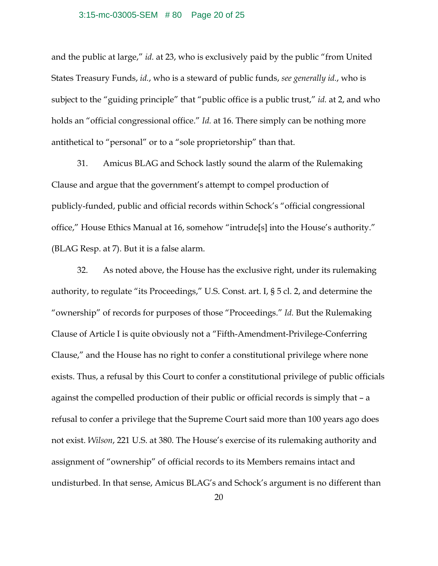#### 3:15-mc-03005-SEM # 80 Page 20 of 25

and the public at large," *id.* at 23, who is exclusively paid by the public "from United States Treasury Funds, *id.*, who is a steward of public funds, *see generally id.*, who is subject to the "guiding principle" that "public office is a public trust," *id.* at 2, and who holds an "official congressional office." *Id.* at 16. There simply can be nothing more antithetical to "personal" or to a "sole proprietorship" than that.

31. Amicus BLAG and Schock lastly sound the alarm of the Rulemaking Clause and argue that the government's attempt to compel production of publicly-funded, public and official records within Schock's "official congressional office," House Ethics Manual at 16, somehow "intrude[s] into the House's authority." (BLAG Resp. at 7). But it is a false alarm.

32. As noted above, the House has the exclusive right, under its rulemaking authority, to regulate "its Proceedings," U.S. Const. art. I, § 5 cl. 2, and determine the "ownership" of records for purposes of those "Proceedings." *Id.* But the Rulemaking Clause of Article I is quite obviously not a "Fifth-Amendment-Privilege-Conferring Clause," and the House has no right to confer a constitutional privilege where none exists. Thus, a refusal by this Court to confer a constitutional privilege of public officials against the compelled production of their public or official records is simply that – a refusal to confer a privilege that the Supreme Court said more than 100 years ago does not exist. *Wilson*, 221 U.S. at 380. The House's exercise of its rulemaking authority and assignment of "ownership" of official records to its Members remains intact and undisturbed. In that sense, Amicus BLAG's and Schock's argument is no different than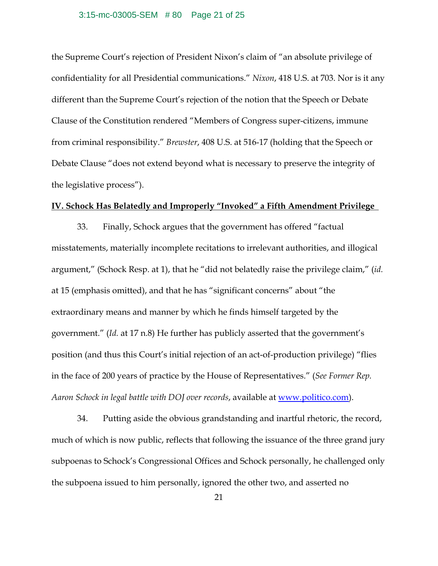#### 3:15-mc-03005-SEM # 80 Page 21 of 25

the Supreme Court's rejection of President Nixon's claim of "an absolute privilege of confidentiality for all Presidential communications." *Nixon*, 418 U.S. at 703. Nor is it any different than the Supreme Court's rejection of the notion that the Speech or Debate Clause of the Constitution rendered "Members of Congress super-citizens, immune from criminal responsibility." *Brewster*, 408 U.S. at 516-17 (holding that the Speech or Debate Clause "does not extend beyond what is necessary to preserve the integrity of the legislative process").

### **IV. Schock Has Belatedly and Improperly "Invoked" a Fifth Amendment Privilege**

33. Finally, Schock argues that the government has offered "factual misstatements, materially incomplete recitations to irrelevant authorities, and illogical argument," (Schock Resp. at 1), that he "did not belatedly raise the privilege claim," (*id.* at 15 (emphasis omitted), and that he has "significant concerns" about "the extraordinary means and manner by which he finds himself targeted by the government." (*Id.* at 17 n.8) He further has publicly asserted that the government's position (and thus this Court's initial rejection of an act-of-production privilege) "flies in the face of 200 years of practice by the House of Representatives." (*See Former Rep. Aaron Schock in legal battle with DOJ over records*, available at www.politico.com).

34. Putting aside the obvious grandstanding and inartful rhetoric, the record, much of which is now public, reflects that following the issuance of the three grand jury subpoenas to Schock's Congressional Offices and Schock personally, he challenged only the subpoena issued to him personally, ignored the other two, and asserted no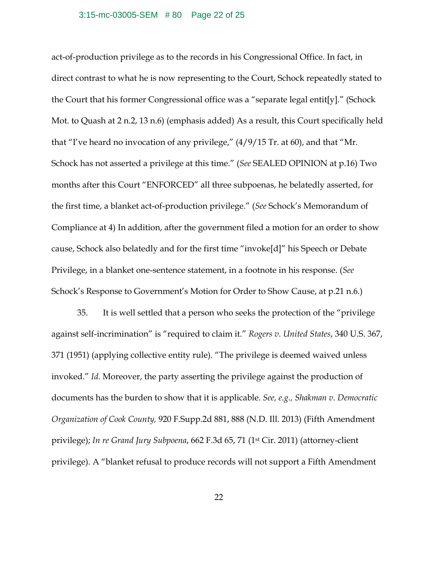### 3:15-mc-03005-SEM # 80 Page 22 of 25

act-of-production privilege as to the records in his Congressional Office. In fact, in direct contrast to what he is now representing to the Court, Schock repeatedly stated to the Court that his former Congressional office was a "separate legal entit[y]." (Schock Mot. to Quash at 2 n.2, 13 n.6) (emphasis added) As a result, this Court specifically held that "I've heard no invocation of any privilege," (4/9/15 Tr. at 60), and that "Mr. Schock has not asserted a privilege at this time." (*See* SEALED OPINION at p.16) Two months after this Court "ENFORCED" all three subpoenas, he belatedly asserted, for the first time, a blanket act-of-production privilege." (*See* Schock's Memorandum of Compliance at 4) In addition, after the government filed a motion for an order to show cause, Schock also belatedly and for the first time "invoke[d]" his Speech or Debate Privilege, in a blanket one-sentence statement, in a footnote in his response. (*See* Schock's Response to Government's Motion for Order to Show Cause, at p.21 n.6.)

35. It is well settled that a person who seeks the protection of the "privilege against self-incrimination" is "required to claim it." *Rogers v. United States*, 340 U.S. 367, 371 (1951) (applying collective entity rule). "The privilege is deemed waived unless invoked." *Id.* Moreover, the party asserting the privilege against the production of documents has the burden to show that it is applicable. *See, e.g., Shakman v. Democratic Organization of Cook County,* 920 F.Supp.2d 881, 888 (N.D. Ill. 2013) (Fifth Amendment privilege); *In re Grand Jury Subpoena*, 662 F.3d 65, 71 (1st Cir. 2011) (attorney-client privilege). A "blanket refusal to produce records will not support a Fifth Amendment

22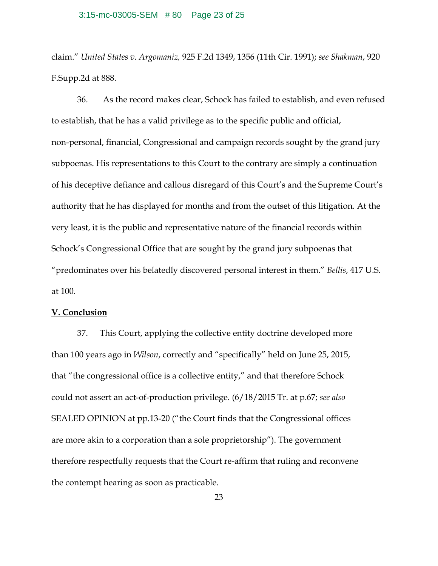#### 3:15-mc-03005-SEM # 80 Page 23 of 25

claim." *United States v. Argomaniz,* 925 F.2d 1349, 1356 (11th Cir. 1991); *see Shakman*, 920 F.Supp.2d at 888.

36. As the record makes clear, Schock has failed to establish, and even refused to establish, that he has a valid privilege as to the specific public and official, non-personal, financial, Congressional and campaign records sought by the grand jury subpoenas. His representations to this Court to the contrary are simply a continuation of his deceptive defiance and callous disregard of this Court's and the Supreme Court's authority that he has displayed for months and from the outset of this litigation. At the very least, it is the public and representative nature of the financial records within Schock's Congressional Office that are sought by the grand jury subpoenas that "predominates over his belatedly discovered personal interest in them." *Bellis*, 417 U.S. at 100.

## **V. Conclusion**

37. This Court, applying the collective entity doctrine developed more than 100 years ago in *Wilson*, correctly and "specifically" held on June 25, 2015, that "the congressional office is a collective entity," and that therefore Schock could not assert an act-of-production privilege. (6/18/2015 Tr. at p.67; *see also* SEALED OPINION at pp.13-20 ("the Court finds that the Congressional offices are more akin to a corporation than a sole proprietorship"). The government therefore respectfully requests that the Court re-affirm that ruling and reconvene the contempt hearing as soon as practicable.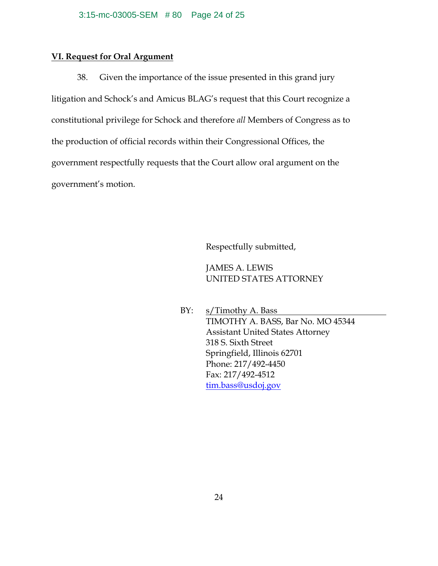# **VI. Request for Oral Argument**

38. Given the importance of the issue presented in this grand jury litigation and Schock's and Amicus BLAG's request that this Court recognize a constitutional privilege for Schock and therefore *all* Members of Congress as to the production of official records within their Congressional Offices, the government respectfully requests that the Court allow oral argument on the government's motion.

Respectfully submitted,

# JAMES A. LEWIS UNITED STATES ATTORNEY

BY: s/Timothy A. Bass TIMOTHY A. BASS, Bar No. MO 45344 Assistant United States Attorney 318 S. Sixth Street Springfield, Illinois 62701 Phone: 217/492-4450 Fax: 217/492-4512 tim.bass@usdoj.gov